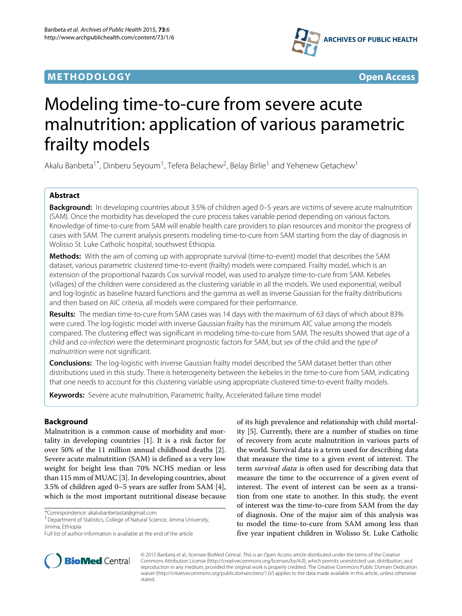## **METHODOLOGY Open Access**



# Modeling time-to-cure from severe acute malnutrition: application of various parametric frailty models

Akalu Banbeta<sup>1\*</sup>, Dinberu Seyoum<sup>1</sup>, Tefera Belachew<sup>2</sup>, Belay Birlie<sup>1</sup> and Yehenew Getachew<sup>1</sup>

## **Abstract**

**Background:** In developing countries about 3.5% of children aged 0–5 years are victims of severe acute malnutrition (SAM). Once the morbidity has developed the cure process takes variable period depending on various factors. Knowledge of time-to-cure from SAM will enable health care providers to plan resources and monitor the progress of cases with SAM. The current analysis presents modeling time-to-cure from SAM starting from the day of diagnosis in Wolisso St. Luke Catholic hospital, southwest Ethiopia.

**Methods:** With the aim of coming up with appropriate survival (time-to-event) model that describes the SAM dataset, various parametric clustered time-to-event (frailty) models were compared. Frailty model, which is an extension of the proportional hazards Cox survival model, was used to analyze time-to-cure from SAM. Kebeles (villages) of the children were considered as the clustering variable in all the models. We used exponential, weibull and log-logistic as baseline hazard functions and the gamma as well as inverse Gaussian for the frailty distributions and then based on AIC criteria, all models were compared for their performance.

**Results:** The median time-to-cure from SAM cases was 14 days with the maximum of 63 days of which about 83% were cured. The log-logistic model with inverse Gaussian frailty has the minimum AIC value among the models compared. The clustering effect was significant in modeling time-to-cure from SAM. The results showed that age of a child and co-infection were the determinant prognostic factors for SAM, but sex of the child and the type of malnutrition were not significant.

**Conclusions:** The log-logistic with inverse Gaussian frailty model described the SAM dataset better than other distributions used in this study. There is heterogeneity between the kebeles in the time-to-cure from SAM, indicating that one needs to account for this clustering variable using appropriate clustered time-to-event frailty models.

**Keywords:** Severe acute malnutrition, Parametric frailty, Accelerated failure time model

## **Background**

Malnutrition is a common cause of morbidity and mortality in developing countries [\[1\]](#page-7-0). It is a risk factor for over 50% of the 11 million annual childhood deaths [\[2\]](#page-7-1). Severe acute malnutrition (SAM) is defined as a very low weight for height less than 70% NCHS median or less than 115 mm of MUAC [\[3\]](#page-7-2). In developing countries, about 3.5% of children aged 0–5 years are suffer from SAM [\[4\]](#page-7-3), which is the most important nutritional disease because

\*Correspondence: [akalubanbetastat@gmail.com](mailto: akalubanbetastat@gmail.com)

of its high prevalence and relationship with child mortality [\[5\]](#page-7-4). Currently, there are a number of studies on time of recovery from acute malnutrition in various parts of the world. Survival data is a term used for describing data that measure the time to a given event of interest. The term *survival data* is often used for describing data that measure the time to the occurrence of a given event of interest. The event of interest can be seen as a transition from one state to another. In this study, the event of interest was the time-to-cure from SAM from the day of diagnosis. One of the major aim of this analysis was to model the time-to-cure from SAM among less than five year inpatient children in Wolisso St. Luke Catholic



© 2015 Banbeta et al.; licensee BioMed Central. This is an Open Access article distributed under the terms of the Creative Commons Attribution License [\(http://creativecommons.org/licenses/by/4.0\)](http://creativecommons.org/licenses/by/4.0), which permits unrestricted use, distribution, and reproduction in any medium, provided the original work is properly credited. The Creative Commons Public Domain Dedication waiver [\(http://creativecommons.org/publicdomain/zero/1.0/\)](http://creativecommons.org/publicdomain/zero/1.0/) applies to the data made available in this article, unless otherwise stated.

<sup>&</sup>lt;sup>1</sup> Department of Statistics, College of Natural Science, Jimma University, Jimma, Ethiopia

Full list of author information is available at the end of the article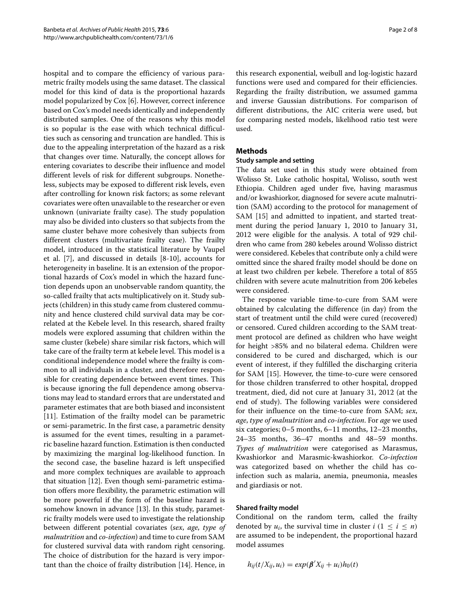hospital and to compare the efficiency of various parametric frailty models using the same dataset. The classical model for this kind of data is the proportional hazards model popularized by Cox [\[6\]](#page-7-5). However, correct inference based on Cox's model needs identically and independently distributed samples. One of the reasons why this model is so popular is the ease with which technical difficulties such as censoring and truncation are handled. This is due to the appealing interpretation of the hazard as a risk that changes over time. Naturally, the concept allows for entering covariates to describe their influence and model different levels of risk for different subgroups. Nonetheless, subjects may be exposed to different risk levels, even after controlling for known risk factors; as some relevant covariates were often unavailable to the researcher or even unknown (univariate frailty case). The study population may also be divided into clusters so that subjects from the same cluster behave more cohesively than subjects from different clusters (multivariate frailty case). The frailty model, introduced in the statistical literature by Vaupel et al. [\[7\]](#page-7-6), and discussed in details [\[8-](#page-7-7)[10\]](#page-7-8), accounts for heterogeneity in baseline. It is an extension of the proportional hazards of Cox's model in which the hazard function depends upon an unobservable random quantity, the so-called frailty that acts multiplicatively on it. Study subjects (children) in this study came from clustered community and hence clustered child survival data may be correlated at the Kebele level. In this research, shared frailty models were explored assuming that children within the same cluster (kebele) share similar risk factors, which will take care of the frailty term at kebele level. This model is a conditional independence model where the frailty is common to all individuals in a cluster, and therefore responsible for creating dependence between event times. This is because ignoring the full dependence among observations may lead to standard errors that are understated and parameter estimates that are both biased and inconsistent [\[11\]](#page-7-9). Estimation of the frailty model can be parametric or semi-parametric. In the first case, a parametric density is assumed for the event times, resulting in a parametric baseline hazard function. Estimation is then conducted by maximizing the marginal log-likelihood function. In the second case, the baseline hazard is left unspecified and more complex techniques are available to approach that situation [\[12\]](#page-7-10). Even though semi-parametric estimation offers more flexibility, the parametric estimation will be more powerful if the form of the baseline hazard is somehow known in advance [\[13\]](#page-7-11). In this study, parametric frailty models were used to investigate the relationship between different potential covariates (*sex*, *age*, *type of malnutrition* and *co-infection*) and time to cure from SAM for clustered survival data with random right censoring. The choice of distribution for the hazard is very important than the choice of frailty distribution [\[14\]](#page-7-12). Hence, in

this research exponential, weibull and log-logistic hazard functions were used and compared for their efficiencies. Regarding the frailty distribution, we assumed gamma and inverse Gaussian distributions. For comparison of different distributions, the AIC criteria were used, but for comparing nested models, likelihood ratio test were used.

### **Methods**

## **Study sample and setting**

The data set used in this study were obtained from Wolisso St. Luke catholic hospital, Wolisso, south west Ethiopia. Children aged under five, having marasmus and/or kwashiorkor, diagnosed for severe acute malnutrition (SAM) according to the protocol for management of SAM [\[15\]](#page-7-13) and admitted to inpatient, and started treatment during the period January 1, 2010 to January 31, 2012 were eligible for the analysis. A total of 929 children who came from 280 kebeles around Wolisso district were considered. Kebeles that contribute only a child were omitted since the shared frailty model should be done on at least two children per kebele. Therefore a total of 855 children with severe acute malnutrition from 206 kebeles were considered.

The response variable time-to-cure from SAM were obtained by calculating the difference (in day) from the start of treatment until the child were cured (recovered) or censored. Cured children according to the SAM treatment protocol are defined as children who have weight for height >85% and no bilateral edema. Children were considered to be cured and discharged, which is our event of interest, if they fulfilled the discharging criteria for SAM [\[15\]](#page-7-13). However, the time-to-cure were censored for those children transferred to other hospital, dropped treatment, died, did not cure at January 31, 2012 (at the end of study). The following variables were considered for their influence on the time-to-cure from SAM; *sex*, *age*, *type of malnutrition* and *co-infection*. For *age* we used six categories; 0–5 months, 6–11 months, 12–23 months, 24–35 months, 36–47 months and 48–59 months. *Types of malnutrition* were categorised as Marasmus, Kwashiorkor and Marasmic-kwashiorkor. *Co-infection* was categorized based on whether the child has coinfection such as malaria, anemia, pneumonia, measles and giardiasis or not.

#### **Shared frailty model**

Conditional on the random term, called the frailty denoted by  $u_i$ , the survival time in cluster  $i$  ( $1 \le i \le n$ ) are assumed to be independent, the proportional hazard model assumes

$$
h_{ij}(t/X_{ij},u_i)=exp(\beta'X_{ij}+u_i)h_0(t)
$$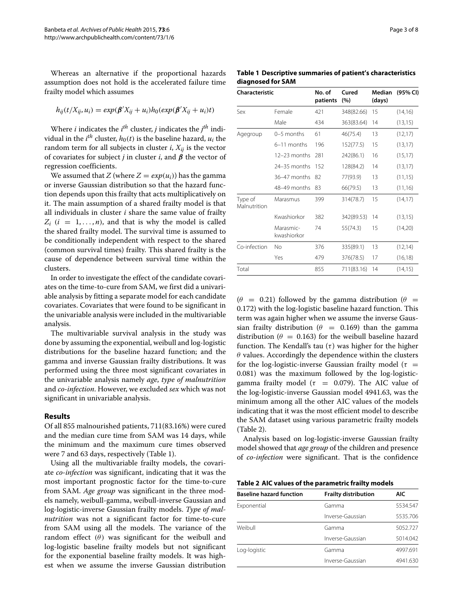Whereas an alternative if the proportional hazards assumption does not hold is the accelerated failure time frailty model which assumes

$$
h_{ij}(t/X_{ij},u_i)=exp(\boldsymbol{\beta}'X_{ij}+u_i)h_0(exp(\boldsymbol{\beta}'X_{ij}+u_i)t)
$$

Where *i* indicates the  $i^{th}$  cluster, *j* indicates the  $j^{th}$  individual in the  $i^{th}$  cluster,  $h_0(t)$  is the baseline hazard,  $u_i$  the random term for all subjects in cluster  $i$ ,  $X_{ij}$  is the vector of covariates for subject *j* in cluster *i*, and *β* the vector of regression coefficients.

We assumed that *Z* (where  $Z = exp(u_i)$ ) has the gamma or inverse Gaussian distribution so that the hazard function depends upon this frailty that acts multiplicatively on it. The main assumption of a shared frailty model is that all individuals in cluster *i* share the same value of frailty  $Z_i$  ( $i = 1, \ldots, n$ ), and that is why the model is called the shared frailty model. The survival time is assumed to be conditionally independent with respect to the shared (common survival times) frailty. This shared frailty is the cause of dependence between survival time within the clusters.

In order to investigate the effect of the candidate covariates on the time-to-cure from SAM, we first did a univariable analysis by fitting a separate model for each candidate covariates. Covariates that were found to be significant in the univariable analysis were included in the multivariable analysis.

The multivariable survival analysis in the study was done by assuming the exponential, weibull and log-logistic distributions for the baseline hazard function; and the gamma and inverse Gaussian frailty distributions. It was performed using the three most significant covariates in the univariable analysis namely *age*, *type of malnutrition* and *co-infection*. However, we excluded *sex* which was not significant in univariable analysis.

### **Results**

Of all 855 malnourished patients, 711(83.16%) were cured and the median cure time from SAM was 14 days, while the minimum and the maximum cure times observed were 7 and 63 days, respectively (Table [1\)](#page-2-0).

Using all the multivariable frailty models, the covariate *co-infection* was significant, indicating that it was the most important prognostic factor for the time-to-cure from SAM. *Age group* was significant in the three models namely, weibull-gamma, weibull-inverse Gaussian and log-logistic-inverse Gaussian frailty models. *Type of malnutrition* was not a significant factor for time-to-cure from SAM using all the models. The variance of the random effect  $(\theta)$  was significant for the weibull and log-logistic baseline frailty models but not significant for the exponential baseline frailty models. It was highest when we assume the inverse Gaussian distribution

<span id="page-2-0"></span>**Table 1 Descriptive summaries of patient's characteristics diagnosed for SAM**

| Characteristic          |                          | No. of<br>patients | Cured<br>(%) | Median<br>(days) | (95% CI) |
|-------------------------|--------------------------|--------------------|--------------|------------------|----------|
| Sex                     | Female                   | 421                | 348(82.66)   | 15               | (14, 16) |
|                         | Male                     | 434                | 363(83.64)   | 14               | (13, 15) |
| Agegroup                | $0-5$ months             | 61                 | 46(75.4)     | 13               | (12,17)  |
|                         | 6-11 months              | 196                | 152(77.5)    | 15               | (13, 17) |
|                         | $12-23$ months           | 281                | 242(86.1)    | 16               | (15, 17) |
|                         | 24-35 months             | 152                | 128(84.2)    | 14               | (13, 17) |
|                         | 36-47 months             | 82                 | 77(93.9)     | 13               | (11, 15) |
|                         | 48-49 months             | 83                 | 66(79.5)     | 13               | (11,16)  |
| Type of<br>Malnutrition | Marasmus                 | 399                | 314(78.7)    | 15               | (14, 17) |
|                         | Kwashiorkor              | 382                | 342(89.53)   | 14               | (13, 15) |
|                         | Marasmic-<br>kwashiorkor | 74                 | 55(74.3)     | 15               | (14,20)  |
| Co-infection            | No                       | 376                | 335(89.1)    | 13               | (12, 14) |
|                         | Yes                      | 479                | 376(78.5)    | 17               | (16, 18) |
| Total                   |                          | 855                | 711(83.16)   | 14               | (14, 15) |

 $(\theta = 0.21)$  followed by the gamma distribution  $(\theta = 0.21)$ 0.172) with the log-logistic baseline hazard function. This term was again higher when we assume the inverse Gaussian frailty distribution ( $\theta$  = 0.169) than the gamma distribution ( $\theta = 0.163$ ) for the weibull baseline hazard function. The Kendall's tau  $(\tau)$  was higher for the higher  $\theta$  values. Accordingly the dependence within the clusters for the log-logistic-inverse Gaussian frailty model ( $\tau =$ 0.081) was the maximum followed by the log-logisticgamma frailty model ( $\tau$  = 0.079). The AIC value of the log-logistic-inverse Gaussian model 4941.63, was the minimum among all the other AIC values of the models indicating that it was the most efficient model to describe the SAM dataset using various parametric frailty models (Table [2\)](#page-2-1).

Analysis based on log-logistic-inverse Gaussian frailty model showed that *age group* of the children and presence of *co-infection* were significant. That is the confidence

|  |  |  | Table 2  AIC values of the parametric frailty models |  |
|--|--|--|------------------------------------------------------|--|
|--|--|--|------------------------------------------------------|--|

<span id="page-2-1"></span>

| 5534.547 |  |
|----------|--|
| 5535.706 |  |
| 5052.727 |  |
| 5014.042 |  |
| 4997.691 |  |
| 4941.630 |  |
|          |  |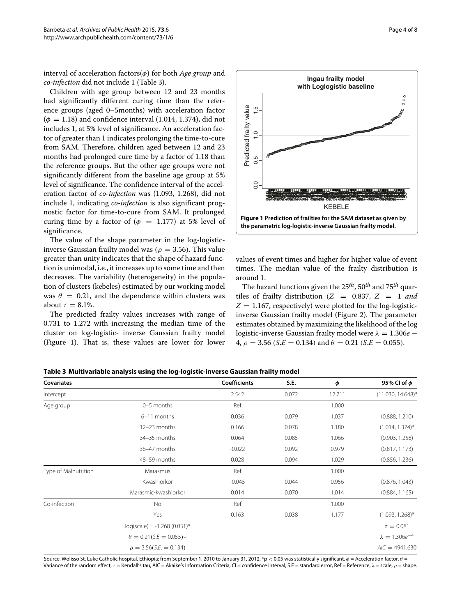interval of acceleration factors(φ) for both *Age group* and *co-infection* did not include 1 (Table [3\)](#page-3-0).

Children with age group between 12 and 23 months had significantly different curing time than the reference groups (aged 0–5months) with acceleration factor  $(\phi = 1.18)$  and confidence interval (1.014, 1.374), did not includes 1, at 5% level of significance. An acceleration factor of greater than 1 indicates prolonging the time-to-cure from SAM. Therefore, children aged between 12 and 23 months had prolonged cure time by a factor of 1.18 than the reference groups. But the other age groups were not significantly different from the baseline age group at 5% level of significance. The confidence interval of the acceleration factor of *co-infection* was (1.093, 1.268), did not include 1, indicating *co-infection* is also significant prognostic factor for time-to-cure from SAM. It prolonged curing time by a factor of ( $\phi = 1.177$ ) at 5% level of significance.

The value of the shape parameter in the log-logisticinverse Gaussian frailty model was ( $\rho = 3.56$ ). This value greater than unity indicates that the shape of hazard function is unimodal, i.e., it increases up to some time and then decreases. The variability (heterogeneity) in the population of clusters (kebeles) estimated by our working model was  $\theta = 0.21$ , and the dependence within clusters was about  $\tau = 8.1\%$ .

The predicted frailty values increases with range of 0.731 to 1.272 with increasing the median time of the cluster on log-logistic- inverse Gaussian frailty model (Figure [1\)](#page-3-1). That is, these values are lower for lower



<span id="page-3-1"></span>values of event times and higher for higher value of event times. The median value of the frailty distribution is around 1.

The hazard functions given the 25*th*, 50*th* and 75*th* quartiles of frailty distribution (*Z* = 0.837, *Z* = 1 *and*  $Z = 1.167$ , respectively) were plotted for the log-logisticinverse Gaussian frailty model (Figure [2\)](#page-4-0). The parameter estimates obtained by maximizing the likelihood of the log logistic-inverse Gaussian frailty model were λ = 1.306*e* − 4,  $\rho = 3.56$  (*S.E* = 0.134) and  $\theta = 0.21$  (*S.E* = 0.055).

**Table 3 Multivariable analysis using the log-logistic-inverse Gaussian frailty model**

<span id="page-3-0"></span>

| Covariates           |                                | Coefficients | S.E.  | $\phi$ | 95% Cl of $\phi$        |
|----------------------|--------------------------------|--------------|-------|--------|-------------------------|
| Intercept            |                                | 2.542        | 0.072 | 12.711 | $(11.030, 14.648)^*$    |
| Age group            | 0-5 months                     | Ref          |       | 1.000  |                         |
|                      | 6-11 months                    | 0.036        | 0.079 | 1.037  | (0.888, 1.210)          |
|                      | 12-23 months                   | 0.166        | 0.078 | 1.180  | $(1.014, 1.374)^{*}$    |
|                      | 34-35 months                   | 0.064        | 0.085 | 1.066  | (0.903, 1.258)          |
|                      | 36-47 months                   | $-0.022$     | 0.092 | 0.979  | (0.817, 1.173)          |
|                      | 48-59 months                   | 0.028        | 0.094 | 1.029  | (0.856, 1.236)          |
| Type of Malnutrition | Marasmus                       | Ref          |       | 1.000  |                         |
|                      | Kwashiorkor                    | $-0.045$     | 0.044 | 0.956  | (0.876, 1.043)          |
|                      | Marasmic-kwashiorkor           | 0.014        | 0.070 | 1.014  | (0.884, 1.165)          |
| Co-infection         | No                             | Ref          |       | 1.000  |                         |
|                      | Yes                            | 0.163        | 0.038 | 1.177  | $(1.093, 1.268)^*$      |
|                      | $log(scale) = -1.268(0.031)^*$ |              |       |        | $\tau = 0.081$          |
|                      | $\theta = 0.21(S.E = 0.055)*$  |              |       |        | $\lambda = 1.306e^{-4}$ |
|                      | $\rho = 3.56(S.E. = 0.134)$    |              |       |        | $A/C = 4941.630$        |

Source: Wolisso St. Luke Catholic hospital, Ethiopia; from September 1, 2010 to January 31, 2012. \*p < 0.05 was statistically significant.  $\phi$  = Acceleration factor,  $\theta$  = Variance of the random effect,  $\tau$  = Kendall's tau, AIC = Akaike's Information Criteria, CI = confidence interval, S.E = standard error, Ref = Reference,  $\lambda$  = scale,  $\rho$  = shape.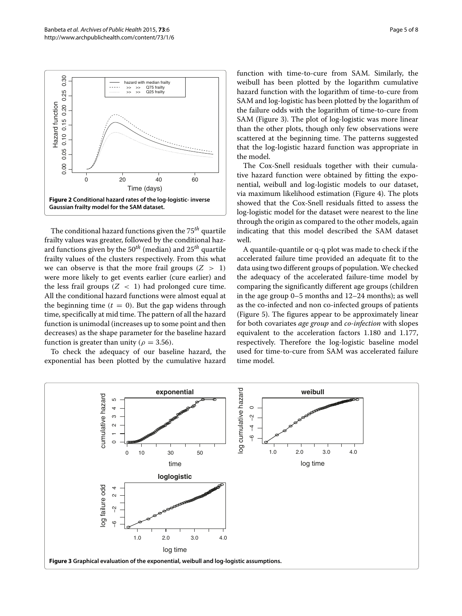

<span id="page-4-0"></span>The conditional hazard functions given the 75*th* quartile frailty values was greater, followed by the conditional hazard functions given by the 50*th* (median) and 25*th* quartile frailty values of the clusters respectively. From this what we can observe is that the more frail groups  $(Z > 1)$ were more likely to get events earlier (cure earlier) and the less frail groups  $(Z < 1)$  had prolonged cure time. All the conditional hazard functions were almost equal at the beginning time  $(t = 0)$ . But the gap widens through time, specifically at mid time. The pattern of all the hazard function is unimodal (increases up to some point and then decreases) as the shape parameter for the baseline hazard function is greater than unity ( $\rho = 3.56$ ).

To check the adequacy of our baseline hazard, the exponential has been plotted by the cumulative hazard function with time-to-cure from SAM. Similarly, the weibull has been plotted by the logarithm cumulative hazard function with the logarithm of time-to-cure from SAM and log-logistic has been plotted by the logarithm of the failure odds with the logarithm of time-to-cure from SAM (Figure [3\)](#page-4-1). The plot of log-logistic was more linear than the other plots, though only few observations were scattered at the beginning time. The patterns suggested that the log-logistic hazard function was appropriate in the model.

The Cox-Snell residuals together with their cumulative hazard function were obtained by fitting the exponential, weibull and log-logistic models to our dataset, via maximum likelihood estimation (Figure [4\)](#page-5-0). The plots showed that the Cox-Snell residuals fitted to assess the log-logistic model for the dataset were nearest to the line through the origin as compared to the other models, again indicating that this model described the SAM dataset well.

A quantile-quantile or q-q plot was made to check if the accelerated failure time provided an adequate fit to the data using two different groups of population. We checked the adequacy of the accelerated failure-time model by comparing the significantly different age groups (children in the age group 0–5 months and 12–24 months); as well as the co-infected and non co-infected groups of patients (Figure [5\)](#page-5-1). The figures appear to be approximately linear for both covariates *age group* and *co-infection* with slopes equivalent to the acceleration factors 1.180 and 1.177, respectively. Therefore the log-logistic baseline model used for time-to-cure from SAM was accelerated failure time model.

<span id="page-4-1"></span>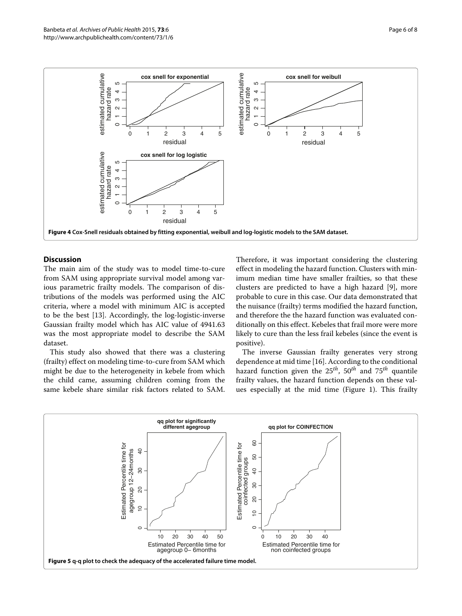

## <span id="page-5-0"></span>**Discussion**

The main aim of the study was to model time-to-cure from SAM using appropriate survival model among various parametric frailty models. The comparison of distributions of the models was performed using the AIC criteria, where a model with minimum AIC is accepted to be the best [\[13\]](#page-7-11). Accordingly, the log-logistic-inverse Gaussian frailty model which has AIC value of 4941.63 was the most appropriate model to describe the SAM dataset.

This study also showed that there was a clustering (frailty) effect on modeling time-to-cure from SAM which might be due to the heterogeneity in kebele from which the child came, assuming children coming from the same kebele share similar risk factors related to SAM.

Therefore, it was important considering the clustering effect in modeling the hazard function. Clusters with minimum median time have smaller frailties, so that these clusters are predicted to have a high hazard [\[9\]](#page-7-14), more probable to cure in this case. Our data demonstrated that the nuisance (frailty) terms modified the hazard function, and therefore the the hazard function was evaluated conditionally on this effect. Kebeles that frail more were more likely to cure than the less frail kebeles (since the event is positive).

The inverse Gaussian frailty generates very strong dependence at mid time [\[16\]](#page-7-15). According to the conditional hazard function given the 25*th*, 50*th* and 75*th* quantile frailty values, the hazard function depends on these values especially at the mid time (Figure [1\)](#page-3-1). This frailty

<span id="page-5-1"></span>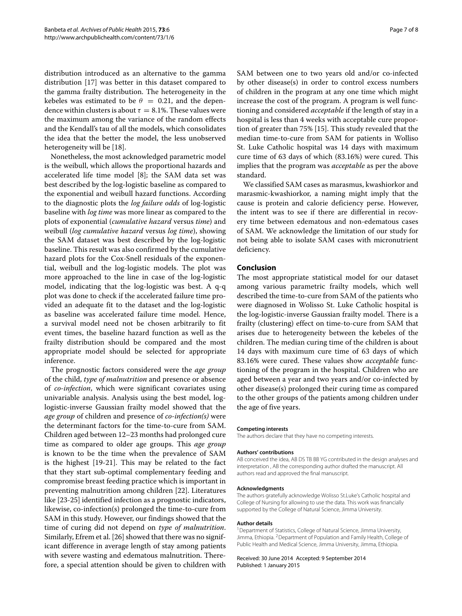distribution introduced as an alternative to the gamma distribution [\[17\]](#page-7-16) was better in this dataset compared to the gamma frailty distribution. The heterogeneity in the kebeles was estimated to be  $\theta = 0.21$ , and the dependence within clusters is about  $\tau = 8.1\%$ . These values were the maximum among the variance of the random effects and the Kendall's tau of all the models, which consolidates the idea that the better the model, the less unobserved heterogeneity will be [\[18\]](#page-7-17).

Nonetheless, the most acknowledged parametric model is the weibull, which allows the proportional hazards and accelerated life time model [\[8\]](#page-7-7); the SAM data set was best described by the log-logistic baseline as compared to the exponential and weibull hazard functions. According to the diagnostic plots the *log failure odds* of log-logistic baseline with *log time* was more linear as compared to the plots of exponential (*cumulative hazard* versus *time*) and weibull (*log cumulative hazard* versus *log time*), showing the SAM dataset was best described by the log-logistic baseline. This result was also confirmed by the cumulative hazard plots for the Cox-Snell residuals of the exponential, weibull and the log-logistic models. The plot was more approached to the line in case of the log-logistic model, indicating that the log-logistic was best. A q-q plot was done to check if the accelerated failure time provided an adequate fit to the dataset and the log-logistic as baseline was accelerated failure time model. Hence, a survival model need not be chosen arbitrarily to fit event times, the baseline hazard function as well as the frailty distribution should be compared and the most appropriate model should be selected for appropriate inference.

The prognostic factors considered were the *age group* of the child, *type of malnutrition* and presence or absence of *co-infection*, which were significant covariates using univariable analysis. Analysis using the best model, loglogistic-inverse Gaussian frailty model showed that the *age group* of children and presence of *co-infection(s)* were the determinant factors for the time-to-cure from SAM. Children aged between 12–23 months had prolonged cure time as compared to older age groups. This *age group* is known to be the time when the prevalence of SAM is the highest [\[19](#page-7-18)[-21\]](#page-7-19). This may be related to the fact that they start sub-optimal complementary feeding and compromise breast feeding practice which is important in preventing malnutrition among children [\[22\]](#page-7-20). Literatures like [\[23](#page-7-21)[-25\]](#page-7-22) identified infection as a prognostic indicators, likewise, co-infection(s) prolonged the time-to-cure from SAM in this study. However, our findings showed that the time of curing did not depend on *type of malnutrition*. Similarly, Efrem et al. [\[26\]](#page-7-23) showed that there was no significant difference in average length of stay among patients with severe wasting and edematous malnutrition. Therefore, a special attention should be given to children with

SAM between one to two years old and/or co-infected by other disease(s) in order to control excess numbers of children in the program at any one time which might increase the cost of the program. A program is well functioning and considered *acceptable* if the length of stay in a hospital is less than 4 weeks with acceptable cure proportion of greater than 75% [\[15\]](#page-7-13). This study revealed that the median time-to-cure from SAM for patients in Wolliso St. Luke Catholic hospital was 14 days with maximum cure time of 63 days of which (83.16%) were cured. This implies that the program was *acceptable* as per the above standard.

We classified SAM cases as marasmus, kwashiorkor and marasmic-kwashiorkor, a naming might imply that the cause is protein and calorie deficiency perse. However, the intent was to see if there are differential in recovery time between edematous and non-edematous cases of SAM. We acknowledge the limitation of our study for not being able to isolate SAM cases with micronutrient deficiency.

## **Conclusion**

The most appropriate statistical model for our dataset among various parametric frailty models, which well described the time-to-cure from SAM of the patients who were diagnosed in Wolisso St. Luke Catholic hospital is the log-logistic-inverse Gaussian frailty model. There is a frailty (clustering) effect on time-to-cure from SAM that arises due to heterogeneity between the kebeles of the children. The median curing time of the children is about 14 days with maximum cure time of 63 days of which 83.16% were cured. These values show *acceptable* functioning of the program in the hospital. Children who are aged between a year and two years and/or co-infected by other disease(s) prolonged their curing time as compared to the other groups of the patients among children under the age of five years.

#### **Competing interests**

The authors declare that they have no competing interests.

#### **Authors' contributions**

AB conceived the idea, AB DS TB BB YG contributed in the design analyses and interpretation , AB the corresponding author drafted the manuscript. All authors read and approved the final manuscript.

#### **Acknowledgments**

The authors gratefully acknowledge Wolisso St.Luke's Catholic hospital and College of Nursing for allowing to use the data. This work was financially supported by the College of Natural Science, Jimma University.

#### **Author details**

<sup>1</sup> Department of Statistics, College of Natural Science, Jimma University, Jimma, Ethiopia. <sup>2</sup>Department of Population and Family Health, College of Public Health and Medical Science, Jimma University, Jimma, Ethiopia.

Received: 30 June 2014 Accepted: 9 September 2014 Published: 1 January 2015